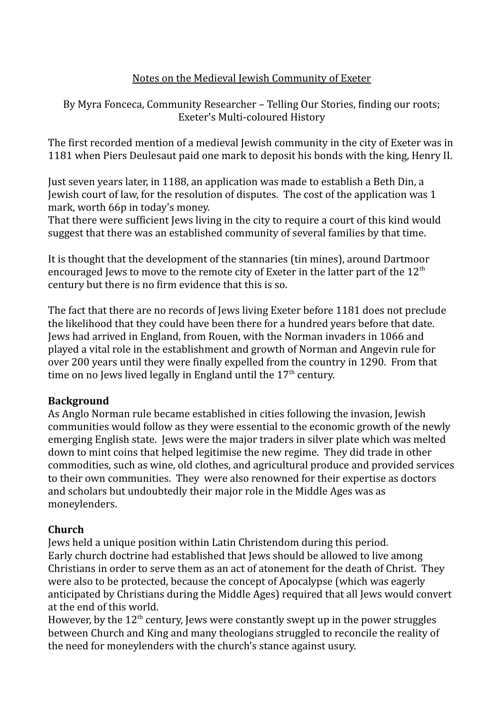# Notes on the Medieval Jewish Community of Exeter

By Myra Fonceca, Community Researcher – Telling Our Stories, finding our roots; Exeter's Multi-coloured History

The first recorded mention of a medieval Jewish community in the city of Exeter was in 1181 when Piers Deulesaut paid one mark to deposit his bonds with the king, Henry II.

Just seven years later, in 1188, an application was made to establish a Beth Din, a Jewish court of law, for the resolution of disputes. The cost of the application was 1 mark, worth 66p in today's money.

That there were sufficient Jews living in the city to require a court of this kind would suggest that there was an established community of several families by that time.

It is thought that the development of the stannaries (tin mines), around Dartmoor encouraged Jews to move to the remote city of Exeter in the latter part of the  $12<sup>th</sup>$ century but there is no firm evidence that this is so.

The fact that there are no records of Jews living Exeter before 1181 does not preclude the likelihood that they could have been there for a hundred years before that date. Jews had arrived in England, from Rouen, with the Norman invaders in 1066 and played a vital role in the establishment and growth of Norman and Angevin rule for over 200 years until they were finally expelled from the country in 1290. From that time on no Jews lived legally in England until the  $17<sup>th</sup>$  century.

# **Background**

As Anglo Norman rule became established in cities following the invasion, Jewish communities would follow as they were essential to the economic growth of the newly emerging English state. Jews were the major traders in silver plate which was melted down to mint coins that helped legitimise the new regime. They did trade in other commodities, such as wine, old clothes, and agricultural produce and provided services to their own communities. They were also renowned for their expertise as doctors and scholars but undoubtedly their major role in the Middle Ages was as moneylenders.

# **Church**

Jews held a unique position within Latin Christendom during this period. Early church doctrine had established that Jews should be allowed to live among Christians in order to serve them as an act of atonement for the death of Christ. They were also to be protected, because the concept of Apocalypse (which was eagerly anticipated by Christians during the Middle Ages) required that all Jews would convert at the end of this world.

However, by the  $12<sup>th</sup>$  century, Jews were constantly swept up in the power struggles between Church and King and many theologians struggled to reconcile the reality of the need for moneylenders with the church's stance against usury.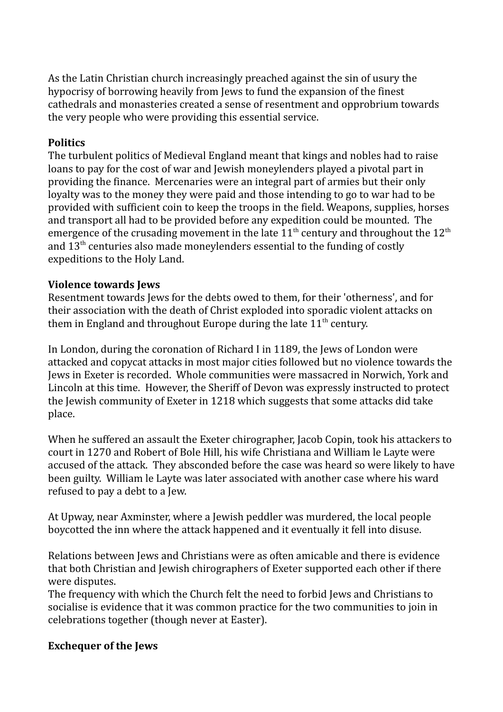As the Latin Christian church increasingly preached against the sin of usury the hypocrisy of borrowing heavily from Jews to fund the expansion of the finest cathedrals and monasteries created a sense of resentment and opprobrium towards the very people who were providing this essential service.

# **Politics**

The turbulent politics of Medieval England meant that kings and nobles had to raise loans to pay for the cost of war and Jewish moneylenders played a pivotal part in providing the finance. Mercenaries were an integral part of armies but their only loyalty was to the money they were paid and those intending to go to war had to be provided with sufficient coin to keep the troops in the field. Weapons, supplies, horses and transport all had to be provided before any expedition could be mounted. The emergence of the crusading movement in the late  $11<sup>th</sup>$  century and throughout the  $12<sup>th</sup>$ and  $13<sup>th</sup>$  centuries also made moneylenders essential to the funding of costly expeditions to the Holy Land.

# **Violence towards Jews**

Resentment towards Jews for the debts owed to them, for their 'otherness', and for their association with the death of Christ exploded into sporadic violent attacks on them in England and throughout Europe during the late  $11<sup>th</sup>$  century.

In London, during the coronation of Richard I in 1189, the Jews of London were attacked and copycat attacks in most major cities followed but no violence towards the Jews in Exeter is recorded. Whole communities were massacred in Norwich, York and Lincoln at this time. However, the Sheriff of Devon was expressly instructed to protect the Jewish community of Exeter in 1218 which suggests that some attacks did take place.

When he suffered an assault the Exeter chirographer, Jacob Copin, took his attackers to court in 1270 and Robert of Bole Hill, his wife Christiana and William le Layte were accused of the attack. They absconded before the case was heard so were likely to have been guilty. William le Layte was later associated with another case where his ward refused to pay a debt to a Jew.

At Upway, near Axminster, where a Jewish peddler was murdered, the local people boycotted the inn where the attack happened and it eventually it fell into disuse.

Relations between Jews and Christians were as often amicable and there is evidence that both Christian and Jewish chirographers of Exeter supported each other if there were disputes.

The frequency with which the Church felt the need to forbid Jews and Christians to socialise is evidence that it was common practice for the two communities to join in celebrations together (though never at Easter).

# **Exchequer of the Jews**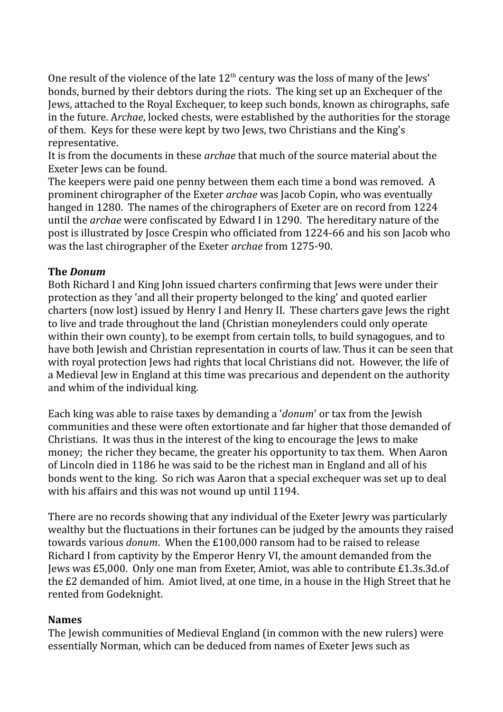One result of the violence of the late  $12<sup>th</sup>$  century was the loss of many of the Jews' bonds, burned by their debtors during the riots. The king set up an Exchequer of the Jews, attached to the Royal Exchequer, to keep such bonds, known as chirographs, safe in the future. A*rchae*, locked chests, were established by the authorities for the storage of them. Keys for these were kept by two Jews, two Christians and the King's representative.

It is from the documents in these *archae* that much of the source material about the Exeter Jews can be found.

The keepers were paid one penny between them each time a bond was removed. A prominent chirographer of the Exeter *archae* was Jacob Copin, who was eventually hanged in 1280. The names of the chirographers of Exeter are on record from 1224 until the *archae* were confiscated by Edward I in 1290. The hereditary nature of the post is illustrated by Josce Crespin who officiated from 1224-66 and his son Jacob who was the last chirographer of the Exeter *archae* from 1275-90.

### **The** *Donum*

Both Richard I and King John issued charters confirming that Jews were under their protection as they 'and all their property belonged to the king' and quoted earlier charters (now lost) issued by Henry I and Henry II. These charters gave Jews the right to live and trade throughout the land (Christian moneylenders could only operate within their own county), to be exempt from certain tolls, to build synagogues, and to have both Jewish and Christian representation in courts of law. Thus it can be seen that with royal protection Jews had rights that local Christians did not. However, the life of a Medieval Jew in England at this time was precarious and dependent on the authority and whim of the individual king.

Each king was able to raise taxes by demanding a '*donum*' or tax from the Jewish communities and these were often extortionate and far higher that those demanded of Christians. It was thus in the interest of the king to encourage the Jews to make money; the richer they became, the greater his opportunity to tax them. When Aaron of Lincoln died in 1186 he was said to be the richest man in England and all of his bonds went to the king. So rich was Aaron that a special exchequer was set up to deal with his affairs and this was not wound up until 1194.

There are no records showing that any individual of the Exeter Jewry was particularly wealthy but the fluctuations in their fortunes can be judged by the amounts they raised towards various *donum*. When the £100,000 ransom had to be raised to release Richard I from captivity by the Emperor Henry VI, the amount demanded from the Jews was £5,000. Only one man from Exeter, Amiot, was able to contribute £1.3s.3d.of the £2 demanded of him. Amiot lived, at one time, in a house in the High Street that he rented from Godeknight.

#### **Names**

The Jewish communities of Medieval England (in common with the new rulers) were essentially Norman, which can be deduced from names of Exeter Jews such as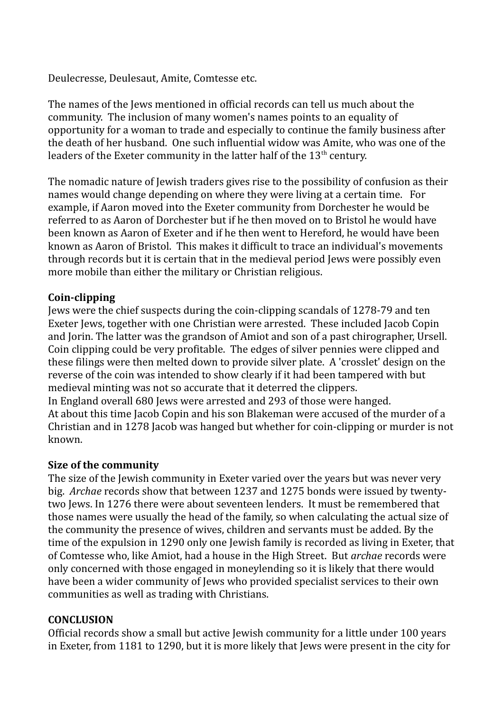Deulecresse, Deulesaut, Amite, Comtesse etc.

The names of the Jews mentioned in official records can tell us much about the community. The inclusion of many women's names points to an equality of opportunity for a woman to trade and especially to continue the family business after the death of her husband. One such influential widow was Amite, who was one of the leaders of the Exeter community in the latter half of the  $13<sup>th</sup>$  century.

The nomadic nature of Jewish traders gives rise to the possibility of confusion as their names would change depending on where they were living at a certain time. For example, if Aaron moved into the Exeter community from Dorchester he would be referred to as Aaron of Dorchester but if he then moved on to Bristol he would have been known as Aaron of Exeter and if he then went to Hereford, he would have been known as Aaron of Bristol. This makes it difficult to trace an individual's movements through records but it is certain that in the medieval period Jews were possibly even more mobile than either the military or Christian religious.

#### **Coin-clipping**

Jews were the chief suspects during the coin-clipping scandals of 1278-79 and ten Exeter Jews, together with one Christian were arrested. These included Jacob Copin and Jorin. The latter was the grandson of Amiot and son of a past chirographer, Ursell. Coin clipping could be very profitable. The edges of silver pennies were clipped and these filings were then melted down to provide silver plate. A 'crosslet' design on the reverse of the coin was intended to show clearly if it had been tampered with but medieval minting was not so accurate that it deterred the clippers. In England overall 680 Jews were arrested and 293 of those were hanged.

At about this time Jacob Copin and his son Blakeman were accused of the murder of a Christian and in 1278 Jacob was hanged but whether for coin-clipping or murder is not known.

#### **Size of the community**

The size of the Jewish community in Exeter varied over the years but was never very big. *Archae* records show that between 1237 and 1275 bonds were issued by twentytwo Jews. In 1276 there were about seventeen lenders. It must be remembered that those names were usually the head of the family, so when calculating the actual size of the community the presence of wives, children and servants must be added. By the time of the expulsion in 1290 only one Jewish family is recorded as living in Exeter, that of Comtesse who, like Amiot, had a house in the High Street. But *archae* records were only concerned with those engaged in moneylending so it is likely that there would have been a wider community of Jews who provided specialist services to their own communities as well as trading with Christians.

#### **CONCLUSION**

Official records show a small but active Jewish community for a little under 100 years in Exeter, from 1181 to 1290, but it is more likely that Jews were present in the city for